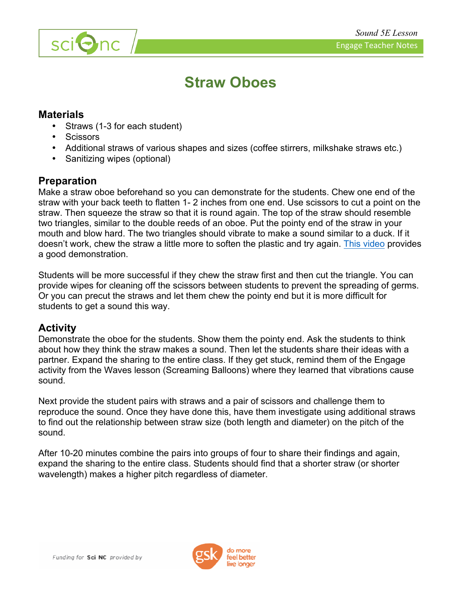

# **Straw Oboes**

#### **Materials**

- Straws (1-3 for each student)
- **Scissors**

sci<sup>O</sup>nc

- Additional straws of various shapes and sizes (coffee stirrers, milkshake straws etc.)
- Sanitizing wipes (optional)

## **Preparation**

Make a straw oboe beforehand so you can demonstrate for the students. Chew one end of the straw with your back teeth to flatten 1- 2 inches from one end. Use scissors to cut a point on the straw. Then squeeze the straw so that it is round again. The top of the straw should resemble two triangles, similar to the double reeds of an oboe. Put the pointy end of the straw in your mouth and blow hard. The two triangles should vibrate to make a sound similar to a duck. If it doesn't work, chew the straw a little more to soften the plastic and try again. This video provides a good demonstration.

Students will be more successful if they chew the straw first and then cut the triangle. You can provide wipes for cleaning off the scissors between students to prevent the spreading of germs. Or you can precut the straws and let them chew the pointy end but it is more difficult for students to get a sound this way.

### **Activity**

Demonstrate the oboe for the students. Show them the pointy end. Ask the students to think about how they think the straw makes a sound. Then let the students share their ideas with a partner. Expand the sharing to the entire class. If they get stuck, remind them of the Engage activity from the Waves lesson (Screaming Balloons) where they learned that vibrations cause sound.

Next provide the student pairs with straws and a pair of scissors and challenge them to reproduce the sound. Once they have done this, have them investigate using additional straws to find out the relationship between straw size (both length and diameter) on the pitch of the sound.

After 10-20 minutes combine the pairs into groups of four to share their findings and again, expand the sharing to the entire class. Students should find that a shorter straw (or shorter wavelength) makes a higher pitch regardless of diameter.